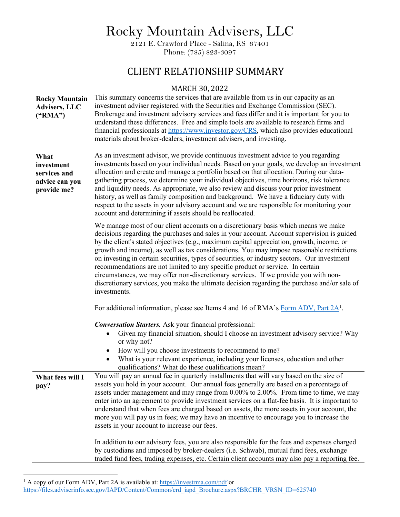Rocky Mountain Advisers, LLC

2121 E. Crawford Place - Salina, KS 67401 Phone: (785) 823-3097

## CLIENT RELATIONSHIP SUMMARY

## MARCH 30, 2022

| <b>Rocky Mountain</b><br><b>Advisers, LLC</b><br>$(^{\circ}RMA")$   | This summary concerns the services that are available from us in our capacity as an<br>investment adviser registered with the Securities and Exchange Commission (SEC).<br>Brokerage and investment advisory services and fees differ and it is important for you to<br>understand these differences. Free and simple tools are available to research firms and<br>financial professionals at https://www.investor.gov/CRS, which also provides educational<br>materials about broker-dealers, investment advisers, and investing.                                                                                                                                                                                                                                  |
|---------------------------------------------------------------------|---------------------------------------------------------------------------------------------------------------------------------------------------------------------------------------------------------------------------------------------------------------------------------------------------------------------------------------------------------------------------------------------------------------------------------------------------------------------------------------------------------------------------------------------------------------------------------------------------------------------------------------------------------------------------------------------------------------------------------------------------------------------|
| What<br>investment<br>services and<br>advice can you<br>provide me? | As an investment advisor, we provide continuous investment advice to you regarding<br>investments based on your individual needs. Based on your goals, we develop an investment<br>allocation and create and manage a portfolio based on that allocation. During our data-<br>gathering process, we determine your individual objectives, time horizons, risk tolerance<br>and liquidity needs. As appropriate, we also review and discuss your prior investment<br>history, as well as family composition and background. We have a fiduciary duty with<br>respect to the assets in your advisory account and we are responsible for monitoring your<br>account and determining if assets should be reallocated.                                                   |
|                                                                     | We manage most of our client accounts on a discretionary basis which means we make<br>decisions regarding the purchases and sales in your account. Account supervision is guided<br>by the client's stated objectives (e.g., maximum capital appreciation, growth, income, or<br>growth and income), as well as tax considerations. You may impose reasonable restrictions<br>on investing in certain securities, types of securities, or industry sectors. Our investment<br>recommendations are not limited to any specific product or service. In certain<br>circumstances, we may offer non-discretionary services. If we provide you with non-<br>discretionary services, you make the ultimate decision regarding the purchase and/or sale of<br>investments. |
|                                                                     | For additional information, please see Items 4 and 16 of RMA's Form ADV, Part $2A^1$ .                                                                                                                                                                                                                                                                                                                                                                                                                                                                                                                                                                                                                                                                              |
|                                                                     | <b>Conversation Starters.</b> Ask your financial professional:<br>Given my financial situation, should I choose an investment advisory service? Why<br>or why not?<br>How will you choose investments to recommend to me?<br>$\bullet$<br>What is your relevant experience, including your licenses, education and other<br>$\bullet$<br>qualifications? What do these qualifications mean?                                                                                                                                                                                                                                                                                                                                                                         |
| What fees will I<br>pay?                                            | You will pay an annual fee in quarterly installments that will vary based on the size of<br>assets you hold in your account. Our annual fees generally are based on a percentage of<br>assets under management and may range from 0.00% to 2.00%. From time to time, we may<br>enter into an agreement to provide investment services on a flat-fee basis. It is important to<br>understand that when fees are charged based on assets, the more assets in your account, the<br>more you will pay us in fees; we may have an incentive to encourage you to increase the<br>assets in your account to increase our fees.                                                                                                                                             |
|                                                                     | In addition to our advisory fees, you are also responsible for the fees and expenses charged<br>by custodians and imposed by broker-dealers (i.e. Schwab), mutual fund fees, exchange<br>traded fund fees, trading expenses, etc. Certain client accounts may also pay a reporting fee.                                                                                                                                                                                                                                                                                                                                                                                                                                                                             |

<span id="page-0-0"></span><sup>&</sup>lt;sup>1</sup> A copy of our Form ADV, Part 2A is available at[: https://investrma.com/pdf](http://investrma.com/pdf) or

[https://files.adviserinfo.sec.gov/IAPD/Content/Common/crd\\_iapd\\_Brochure.aspx?BRCHR\\_VRSN\\_ID=625740](https://files.adviserinfo.sec.gov/IAPD/Content/Common/crd_iapd_Brochure.aspx?BRCHR_VRSN_ID=625740)